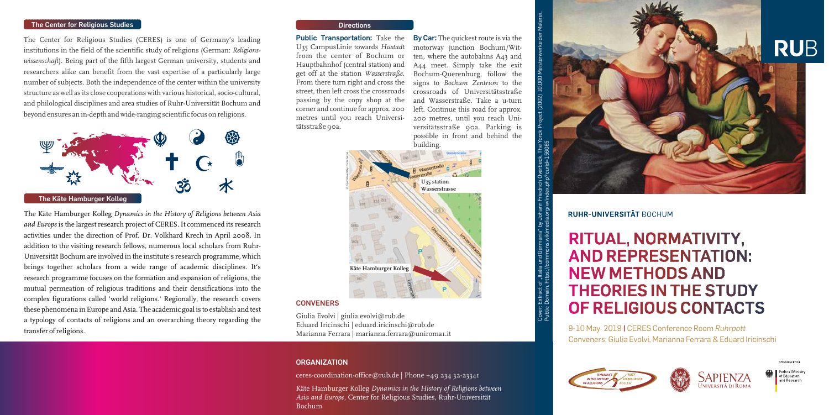**By Car:** The quickest route is via the motorway junction Bochum/Witten, where the autobahns A43 and A44 meet. Simply take the exit Bochum-Querenburg, follow the signs to *Bochum Zentrum* to the crossroads of Universitätsstraße and Wasserstraße. Take a u-turn left. Continue this road for approx. 200 metres, until you reach Universitätsstraße 90a. Parking is possible in front and behind the building.

**Public Transportation:** Take the U35 CampusLinie towards *Hustadt* from the center of Bochum or Hauptbahnhof (central station) and get off at the station *Wasserstraße*. From there turn right and cross the street, then left cross the crossroads passing by the copy shop at the corner and continue for approx. 200 metres until you reach Universitätsstraße 90a.



#### **Directions**

The Center for Religious Studies (CERES) is one of Germany's leading institutions in the field of the scientific study of religions (German: *Religionswissenschaft*). Being part of the fifth largest German university, students and researchers alike can benefit from the vast expertise of a particularly large number of subjects. Both the independence of the center within the university structure as well as its close cooperations with various historical, socio-cultural, and philological disciplines and area studies of Ruhr-Universität Bochum and beyond ensures an in-depth and wide-ranging scientific focus on religions.

> Giulia Evolvi | giulia.evolvi@rub.de Eduard Iricinschi | eduard.iricinschi@rub.de Marianna Ferrara | marianna.ferrara@uniroma1.it

The Käte Hamburger Kolleg *Dynamics in the History of Religions between Asia and Europe* is the largest research project of CERES. It commenced its research activities under the direction of Prof. Dr. Volkhard Krech in April 2008. In addition to the visiting research fellows, numerous local scholars from Ruhr-Universität Bochum are involved in the institute's research programme, which brings together scholars from a wide range of academic disciplines. It's research programme focuses on the formation and expansion of religions, the mutual permeation of religious traditions and their densifications into the complex figurations called 'world religions.' Regionally, the research covers these phenomena in Europe and Asia. The academic goal is to establish and test a typology of contacts of religions and an overarching theory regarding the transfer of religions.

### **The Center for Religious Studies**



9-10 May 2019 **|** CERES Conference Room *Ruhrpott* Conveners: Giulia Evolvi, Marianna Ferrara & Eduard Iricinschi









# **CONVENERS**

### **ORGANIZATION**

ceres-coordination-office@rub.de | Phone +49 234 32-23341

Käte Hamburger Kolleg *Dynamics in the History of Religions between Asia and Europe*, Center for Religious Studies, Ruhr-Universität Bochum



# RITUAL, NORMATIVITY, **AND REPRESENTATION: NEW METHODS AND THEORIES IN THE STUDY** OF RELIGIOUS CONTACTS

werke der Malerei,

Extract of "Italia und G<br>Domain\_https://commo